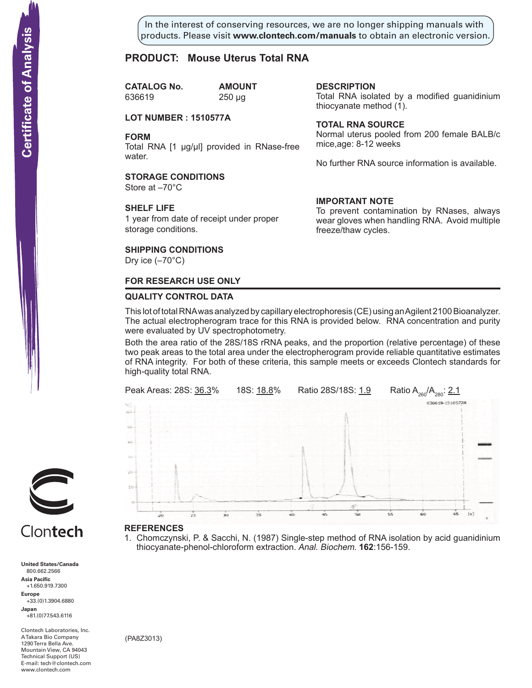In the interest of conserving resources, we are no longer shipping manuals with products. Please visit **www.clontech.com/manuals** to obtain an electronic version.

**description**

thiocyanate method  $(1)$ .

**Total RNA source**

mice,age: 8-12 weeks

**IMPORTANT NOTE**

freeze/thaw cycles.

Total RNA isolated by a modified guanidinium

Normal uterus pooled from 200 female BALB/c

No further RNA source information is available.

To prevent contamination by RNases, always wear gloves when handling RNA. Avoid multiple

### **PRODUCT: Mouse Uterus Total RNA**

**CATALOG No. AMOUNT** 636619 250 µg

#### **LOT NUMBER : 1510577A**

**FORM**

Total RNA [1 µg/µl] provided in RNase-free water.

#### **STORAGE CONDITIONS**

Store at –70°C

#### **SHELF LIFE**

1 year from date of receipt under proper storage conditions.

#### **SHIPPING CONDITIONS**

Dry ice  $(-70^{\circ}C)$ 

#### **FOR RESEARCH USE ONLY**

#### **QUALITY CONTROL DATA**

This lot of total RNA was analyzed by capillary electrophoresis (CE) using an Agilent 2100 Bioanalyzer. The actual electropherogram trace for this RNA is provided below. RNA concentration and purity were evaluated by UV spectrophotometry.

Both the area ratio of the 28S/18S rRNA peaks, and the proportion (relative percentage) of these two peak areas to the total area under the electropherogram provide reliable quantitative estimates of RNA integrity. For both of these criteria, this sample meets or exceeds Clontech standards for high-quality total RNA.



#### **References**

1. Chomczynski, P. & Sacchi, N. (1987) Single-step method of RNA isolation by acid guanidinium thiocyanate-phenol-chloroform extraction. Anal. Biochem. **162**:156-159.



# Clontech

**United States/Canada** 800.662.2566 **Asia Pacific** +1.650.919.7300 **Europe** +33.(0)1.3904.6880 **Japan** +81.(0)77.543.6116

Clontech Laboratories, Inc. A Takara Bio Company 1290 Terra Bella Ave. Mountain View, CA 94043 Technical Support (US) E-mail: tech@clontech.com<br>www.clontech.com

(PA8Z3013)